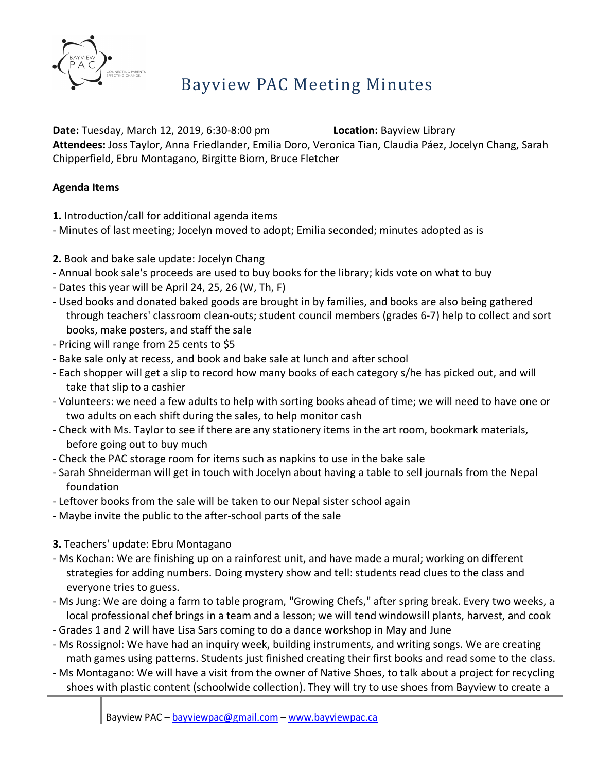

**Date:** Tuesday, March 12, 2019, 6:30-8:00 pm **Location:** Bayview Library

**Attendees:** Joss Taylor, Anna Friedlander, Emilia Doro, Veronica Tian, Claudia Páez, Jocelyn Chang, Sarah Chipperfield, Ebru Montagano, Birgitte Biorn, Bruce Fletcher

## **Agenda Items**

- **1.** Introduction/call for additional agenda items
- Minutes of last meeting; Jocelyn moved to adopt; Emilia seconded; minutes adopted as is
- **2.** Book and bake sale update: Jocelyn Chang
- Annual book sale's proceeds are used to buy books for the library; kids vote on what to buy
- Dates this year will be April 24, 25, 26 (W, Th, F)
- Used books and donated baked goods are brought in by families, and books are also being gathered through teachers' classroom clean-outs; student council members (grades 6-7) help to collect and sort books, make posters, and staff the sale
- Pricing will range from 25 cents to \$5
- Bake sale only at recess, and book and bake sale at lunch and after school
- Each shopper will get a slip to record how many books of each category s/he has picked out, and will take that slip to a cashier
- Volunteers: we need a few adults to help with sorting books ahead of time; we will need to have one or two adults on each shift during the sales, to help monitor cash
- Check with Ms. Taylor to see if there are any stationery items in the art room, bookmark materials, before going out to buy much
- Check the PAC storage room for items such as napkins to use in the bake sale
- Sarah Shneiderman will get in touch with Jocelyn about having a table to sell journals from the Nepal foundation
- Leftover books from the sale will be taken to our Nepal sister school again
- Maybe invite the public to the after-school parts of the sale
- **3.** Teachers' update: Ebru Montagano
- Ms Kochan: We are finishing up on a rainforest unit, and have made a mural; working on different strategies for adding numbers. Doing mystery show and tell: students read clues to the class and everyone tries to guess.
- Ms Jung: We are doing a farm to table program, "Growing Chefs," after spring break. Every two weeks, a local professional chef brings in a team and a lesson; we will tend windowsill plants, harvest, and cook
- Grades 1 and 2 will have Lisa Sars coming to do a dance workshop in May and June
- Ms Rossignol: We have had an inquiry week, building instruments, and writing songs. We are creating math games using patterns. Students just finished creating their first books and read some to the class.
- Ms Montagano: We will have a visit from the owner of Native Shoes, to talk about a project for recycling shoes with plastic content (schoolwide collection). They will try to use shoes from Bayview to create a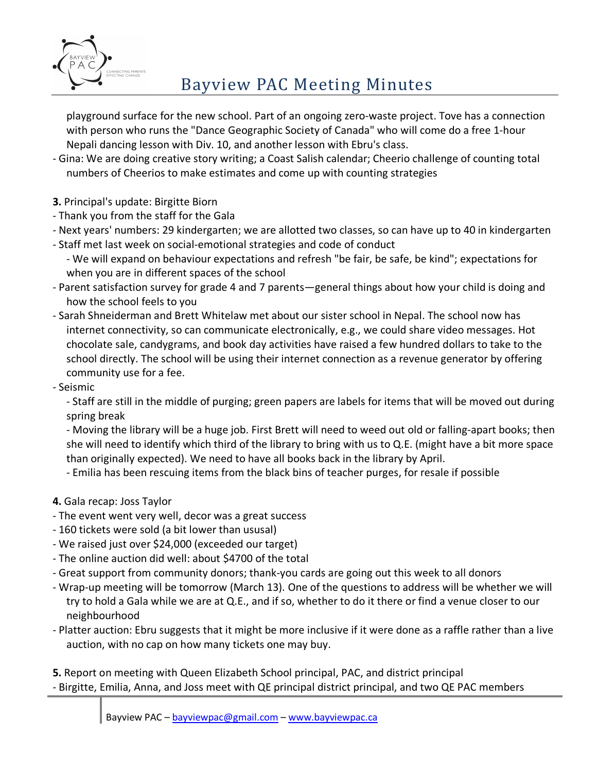

playground surface for the new school. Part of an ongoing zero-waste project. Tove has a connection with person who runs the "Dance Geographic Society of Canada" who will come do a free 1-hour Nepali dancing lesson with Div. 10, and another lesson with Ebru's class.

- Gina: We are doing creative story writing; a Coast Salish calendar; Cheerio challenge of counting total numbers of Cheerios to make estimates and come up with counting strategies
- **3.** Principal's update: Birgitte Biorn
- Thank you from the staff for the Gala
- Next years' numbers: 29 kindergarten; we are allotted two classes, so can have up to 40 in kindergarten
- Staff met last week on social-emotional strategies and code of conduct
	- We will expand on behaviour expectations and refresh "be fair, be safe, be kind"; expectations for when you are in different spaces of the school
- Parent satisfaction survey for grade 4 and 7 parents—general things about how your child is doing and how the school feels to you
- Sarah Shneiderman and Brett Whitelaw met about our sister school in Nepal. The school now has internet connectivity, so can communicate electronically, e.g., we could share video messages. Hot chocolate sale, candygrams, and book day activities have raised a few hundred dollars to take to the school directly. The school will be using their internet connection as a revenue generator by offering community use for a fee.
- Seismic

- Staff are still in the middle of purging; green papers are labels for items that will be moved out during spring break

- Moving the library will be a huge job. First Brett will need to weed out old or falling-apart books; then she will need to identify which third of the library to bring with us to Q.E. (might have a bit more space than originally expected). We need to have all books back in the library by April.

- Emilia has been rescuing items from the black bins of teacher purges, for resale if possible

- **4.** Gala recap: Joss Taylor
- The event went very well, decor was a great success
- 160 tickets were sold (a bit lower than ususal)
- We raised just over \$24,000 (exceeded our target)
- The online auction did well: about \$4700 of the total
- Great support from community donors; thank-you cards are going out this week to all donors
- Wrap-up meeting will be tomorrow (March 13). One of the questions to address will be whether we will try to hold a Gala while we are at Q.E., and if so, whether to do it there or find a venue closer to our neighbourhood
- Platter auction: Ebru suggests that it might be more inclusive if it were done as a raffle rather than a live auction, with no cap on how many tickets one may buy.

**5.** Report on meeting with Queen Elizabeth School principal, PAC, and district principal - Birgitte, Emilia, Anna, and Joss meet with QE principal district principal, and two QE PAC members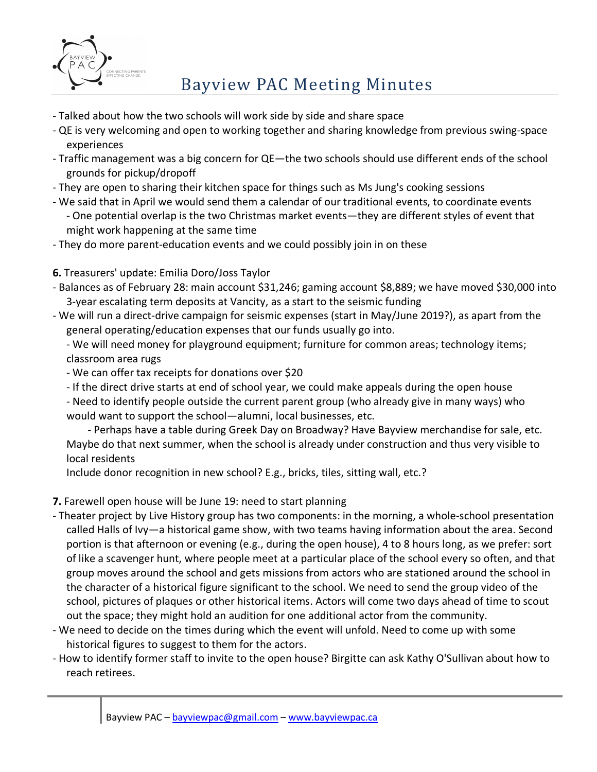

## Bayview PAC Meeting Minutes

- Talked about how the two schools will work side by side and share space
- QE is very welcoming and open to working together and sharing knowledge from previous swing-space experiences
- Traffic management was a big concern for QE—the two schools should use different ends of the school grounds for pickup/dropoff
- They are open to sharing their kitchen space for things such as Ms Jung's cooking sessions
- We said that in April we would send them a calendar of our traditional events, to coordinate events - One potential overlap is the two Christmas market events—they are different styles of event that might work happening at the same time
- They do more parent-education events and we could possibly join in on these
- **6.** Treasurers' update: Emilia Doro/Joss Taylor
- Balances as of February 28: main account \$31,246; gaming account \$8,889; we have moved \$30,000 into 3-year escalating term deposits at Vancity, as a start to the seismic funding
- We will run a direct-drive campaign for seismic expenses (start in May/June 2019?), as apart from the general operating/education expenses that our funds usually go into.
	- We will need money for playground equipment; furniture for common areas; technology items; classroom area rugs
	- We can offer tax receipts for donations over \$20
	- If the direct drive starts at end of school year, we could make appeals during the open house
	- Need to identify people outside the current parent group (who already give in many ways) who would want to support the school—alumni, local businesses, etc.
	- Perhaps have a table during Greek Day on Broadway? Have Bayview merchandise for sale, etc. Maybe do that next summer, when the school is already under construction and thus very visible to local residents

Include donor recognition in new school? E.g., bricks, tiles, sitting wall, etc.?

- **7.** Farewell open house will be June 19: need to start planning
- Theater project by Live History group has two components: in the morning, a whole-school presentation called Halls of Ivy—a historical game show, with two teams having information about the area. Second portion is that afternoon or evening (e.g., during the open house), 4 to 8 hours long, as we prefer: sort of like a scavenger hunt, where people meet at a particular place of the school every so often, and that group moves around the school and gets missions from actors who are stationed around the school in the character of a historical figure significant to the school. We need to send the group video of the school, pictures of plaques or other historical items. Actors will come two days ahead of time to scout out the space; they might hold an audition for one additional actor from the community.
- We need to decide on the times during which the event will unfold. Need to come up with some historical figures to suggest to them for the actors.
- How to identify former staff to invite to the open house? Birgitte can ask Kathy O'Sullivan about how to reach retirees.